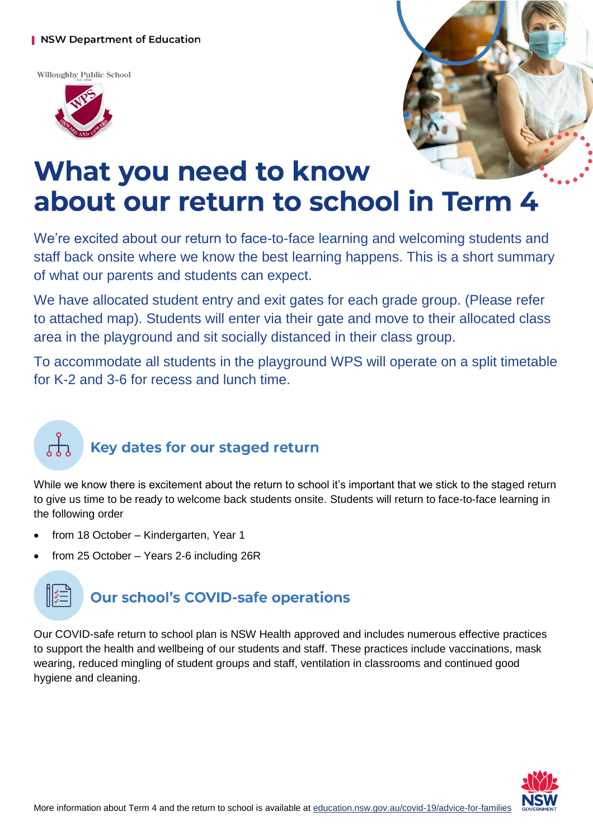### **NSW Department of Education**

Willoughby Public School





## What you need to know about our return to school in Term 4

We're excited about our return to face-to-face learning and welcoming students and staff back onsite where we know the best learning happens. This is a short summary of what our parents and students can expect.

We have allocated student entry and exit gates for each grade group. (Please refer to attached map). Students will enter via their gate and move to their allocated class area in the playground and sit socially distanced in their class group.

To accommodate all students in the playground WPS will operate on a split timetable for K-2 and 3-6 for recess and lunch time.

## Key dates for our staged return

While we know there is excitement about the return to school it's important that we stick to the staged return to give us time to be ready to welcome back students onsite. Students will return to face-to-face learning in the following order

- from 18 October Kindergarten, Year 1
- from 25 October Years 2-6 including 26R



Our COVID-safe return to school plan is NSW Health approved and includes numerous effective practices to support the health and wellbeing of our students and staff. These practices include vaccinations, mask wearing, reduced mingling of student groups and staff, ventilation in classrooms and continued good hygiene and cleaning.

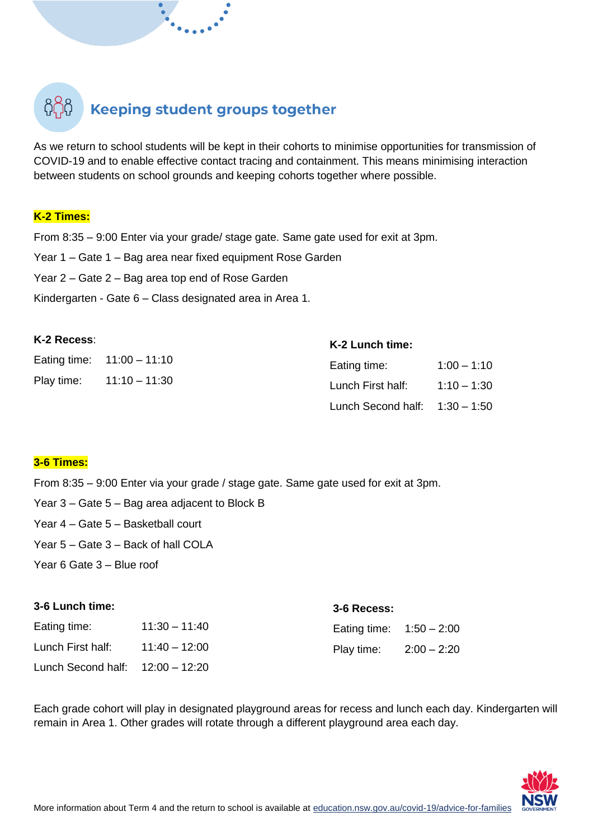## **Keeping student groups together**

As we return to school students will be kept in their cohorts to minimise opportunities for transmission of COVID-19 and to enable effective contact tracing and containment. This means minimising interaction between students on school grounds and keeping cohorts together where possible.

### **K-2 Times:**

From 8:35 – 9:00 Enter via your grade/ stage gate. Same gate used for exit at 3pm.

Year 1 – Gate 1 – Bag area near fixed equipment Rose Garden

Year 2 – Gate 2 – Bag area top end of Rose Garden

Kindergarten - Gate 6 – Class designated area in Area 1.

| K-2 Recess: |                              | K-2 Lunch time:                  |               |
|-------------|------------------------------|----------------------------------|---------------|
|             | Eating time: $11:00 - 11:10$ | Eating time:                     | $1:00 - 1:10$ |
|             | Play time: $11:10 - 11:30$   | Lunch First half:                | $1:10 - 1:30$ |
|             |                              | Lunch Second half: $1:30 - 1:50$ |               |

### **3-6 Times:**

From 8:35 – 9:00 Enter via your grade / stage gate. Same gate used for exit at 3pm.

Year 3 – Gate 5 – Bag area adjacent to Block B

Year 4 – Gate 5 – Basketball court

Year 5 – Gate 3 – Back of hall COLA

Year 6 Gate 3 – Blue roof

### **3-6 Lunch time:**

| Eating time:                     | $11:30 - 11:40$ | Eating time: $1:50 - 2:00$ |  |
|----------------------------------|-----------------|----------------------------|--|
| Lunch First half:                | $11:40 - 12:00$ | Play time: $2:00 - 2:20$   |  |
| Lunch Second half: 12:00 - 12:20 |                 |                            |  |

Each grade cohort will play in designated playground areas for recess and lunch each day. Kindergarten will remain in Area 1. Other grades will rotate through a different playground area each day.

**3-6 Recess:**

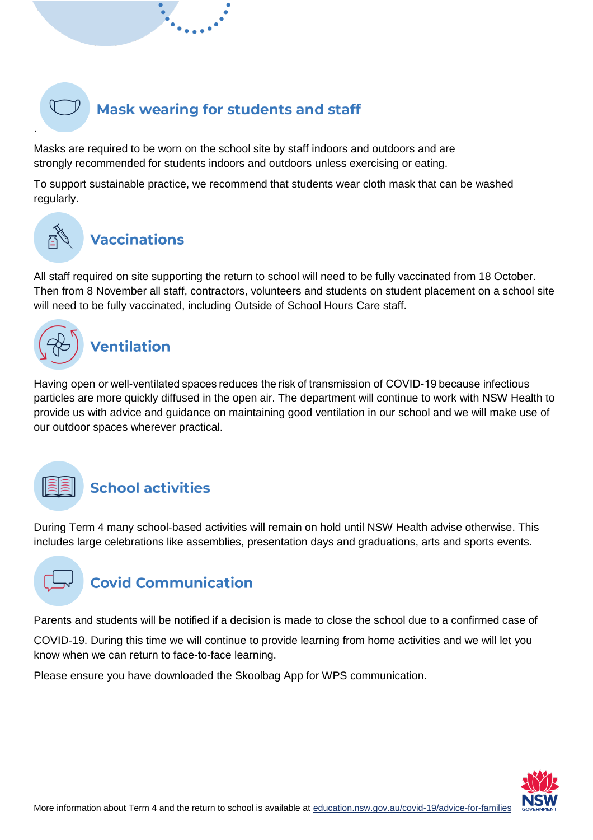### **Mask wearing for students and staff**

Masks are required to be worn on the school site by staff indoors and outdoors and are strongly recommended for students indoors and outdoors unless exercising or eating.

To support sustainable practice, we recommend that students wear cloth mask that can be washed regularly.

## **Vaccinations**

All staff required on site supporting the return to school will need to be fully vaccinated from 18 October. Then from 8 November all staff, contractors, volunteers and students on student placement on a school site will need to be fully vaccinated, including Outside of School Hours Care staff.



Having open or well-ventilated spaces reduces the risk of transmission of COVID-19 because infectious particles are more quickly diffused in the open air. The department will continue to work with NSW Health to provide us with advice and guidance on maintaining good ventilation in our school and we will make use of our outdoor spaces wherever practical.



.

### **School activities**

During Term 4 many school-based activities will remain on hold until NSW Health advise otherwise. This includes large celebrations like assemblies, presentation days and graduations, arts and sports events.



Parents and students will be notified if a decision is made to close the school due to a confirmed case of

COVID-19. During this time we will continue to provide learning from home activities and we will let you know when we can return to face-to-face learning.

Please ensure you have downloaded the Skoolbag App for WPS communication.

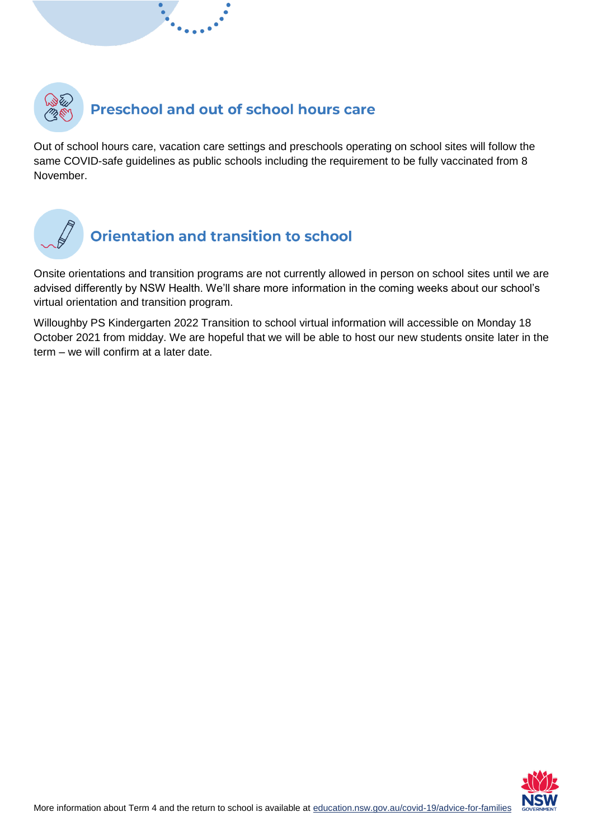

Out of school hours care, vacation care settings and preschools operating on school sites will follow the same COVID-safe guidelines as public schools including the requirement to be fully vaccinated from 8 November.



### **Orientation and transition to school**

Onsite orientations and transition programs are not currently allowed in person on school sites until we are advised differently by NSW Health. We'll share more information in the coming weeks about our school's virtual orientation and transition program.

Willoughby PS Kindergarten 2022 Transition to school virtual information will accessible on Monday 18 October 2021 from midday. We are hopeful that we will be able to host our new students onsite later in the term – we will confirm at a later date.

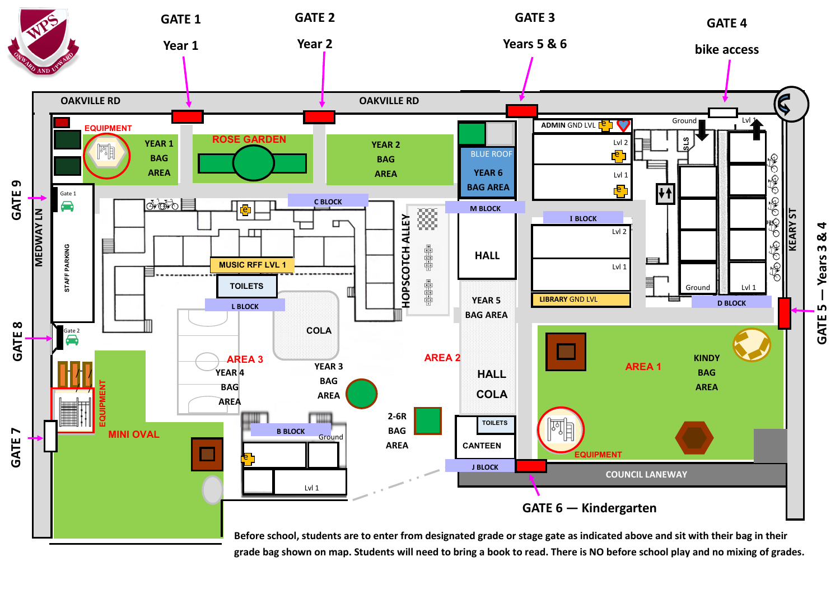

**grade bag shown on map. Students will need to bring a book to read. There is NO before school play and no mixing of grades.**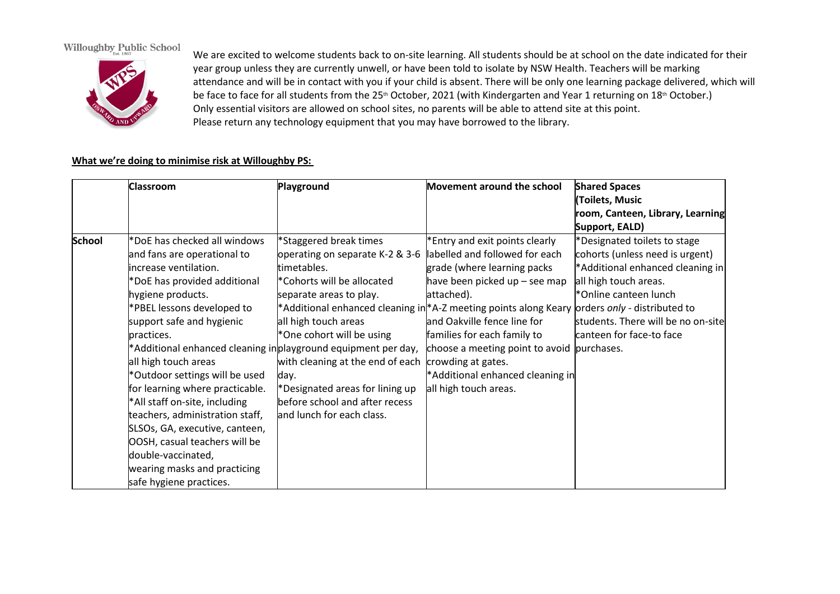### **Willoughby Public School**



We are excited to welcome students back to on-site learning. All students should be at school on the date indicated for their year group unless they are currently unwell, or have been told to isolate by NSW Health. Teachers will be marking attendance and will be in contact with you if your child is absent. There will be only one learning package delivered, which will be face to face for all students from the 25<sup>th</sup> October, 2021 (with Kindergarten and Year 1 returning on 18<sup>th</sup> October.) Only essential visitors are allowed on school sites, no parents will be able to attend site at this point. Please return any technology equipment that you may have borrowed to the library.

#### **What we're doing to minimise risk at Willoughby PS:**

|               | <b>Classroom</b>                | Playground                                                      | Movement around the school                                       | <b>Shared Spaces</b>               |
|---------------|---------------------------------|-----------------------------------------------------------------|------------------------------------------------------------------|------------------------------------|
|               |                                 |                                                                 |                                                                  | Toilets, Music                     |
|               |                                 |                                                                 |                                                                  | room, Canteen, Library, Learning   |
|               |                                 |                                                                 |                                                                  | Support, EALD)                     |
| <b>School</b> | *DoE has checked all windows    | *Staggered break times                                          | *Entry and exit points clearly                                   | *Designated toilets to stage       |
|               | and fans are operational to     | operating on separate K-2 & 3-6                                 | labelled and followed for each                                   | cohorts (unless need is urgent)    |
|               | increase ventilation.           | timetables.                                                     | grade (where learning packs                                      | *Additional enhanced cleaning in   |
|               | *DoE has provided additional    | *Cohorts will be allocated                                      | have been picked up - see map                                    | all high touch areas.              |
|               | hygiene products.               | separate areas to play.                                         | attached).                                                       | *Online canteen lunch              |
|               | *PBEL lessons developed to      |                                                                 | *Additional enhanced cleaning in *A-Z meeting points along Keary | orders only - distributed to       |
|               | support safe and hygienic       | all high touch areas                                            | and Oakville fence line for                                      | students. There will be no on-site |
|               | practices.                      | *One cohort will be using                                       | families for each family to                                      | canteen for face-to face           |
|               |                                 | *Additional enhanced cleaning in play ground equipment per day, | choose a meeting point to avoid purchases.                       |                                    |
|               | all high touch areas            | with cleaning at the end of each                                | crowding at gates.                                               |                                    |
|               | *Outdoor settings will be used  | day.                                                            | *Additional enhanced cleaning in                                 |                                    |
|               | for learning where practicable. | *Designated areas for lining up                                 | all high touch areas.                                            |                                    |
|               | *All staff on-site, including   | before school and after recess                                  |                                                                  |                                    |
|               | teachers, administration staff, | and lunch for each class.                                       |                                                                  |                                    |
|               | SLSOs, GA, executive, canteen,  |                                                                 |                                                                  |                                    |
|               | OOSH, casual teachers will be   |                                                                 |                                                                  |                                    |
|               | double-vaccinated,              |                                                                 |                                                                  |                                    |
|               | wearing masks and practicing    |                                                                 |                                                                  |                                    |
|               | safe hygiene practices.         |                                                                 |                                                                  |                                    |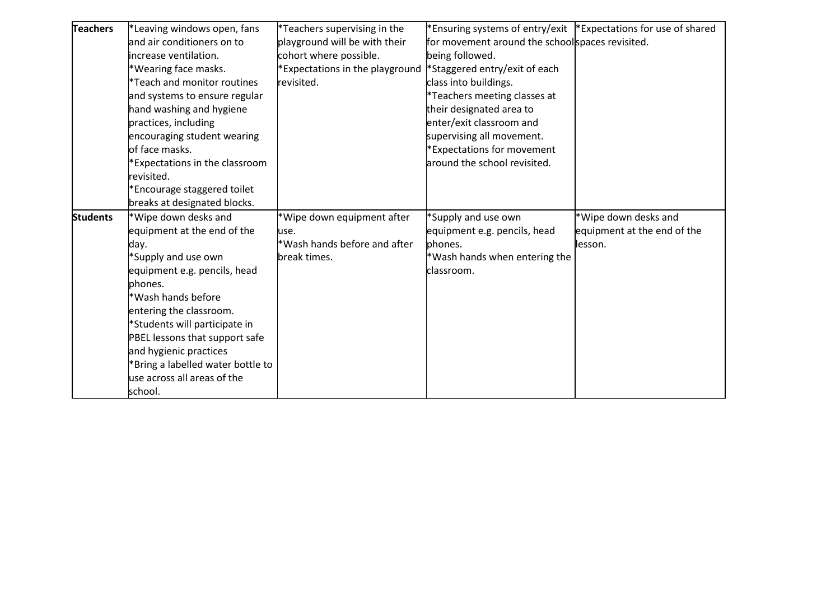| <b>Teachers</b> | *Leaving windows open, fans             | *Teachers supervising in the    | *Ensuring systems of entry/exit  *Expectations for use of shared |                             |
|-----------------|-----------------------------------------|---------------------------------|------------------------------------------------------------------|-----------------------------|
|                 | and air conditioners on to              | playground will be with their   | for movement around the schoolspaces revisited.                  |                             |
|                 | increase ventilation.                   | cohort where possible.          | being followed.                                                  |                             |
|                 | *Wearing face masks.                    | *Expectations in the playground | *Staggered entry/exit of each                                    |                             |
|                 | <sup>*</sup> Teach and monitor routines | revisited.                      | class into buildings.                                            |                             |
|                 | and systems to ensure regular           |                                 | *Teachers meeting classes at                                     |                             |
|                 | hand washing and hygiene                |                                 | their designated area to                                         |                             |
|                 | practices, including                    |                                 | enter/exit classroom and                                         |                             |
|                 | encouraging student wearing             |                                 | supervising all movement.                                        |                             |
|                 | of face masks.                          |                                 | *Expectations for movement                                       |                             |
|                 | *Expectations in the classroom          |                                 | around the school revisited.                                     |                             |
|                 | revisited.                              |                                 |                                                                  |                             |
|                 | *Encourage staggered toilet             |                                 |                                                                  |                             |
|                 | breaks at designated blocks.            |                                 |                                                                  |                             |
|                 |                                         |                                 |                                                                  |                             |
| <b>Students</b> | *Wipe down desks and                    | *Wipe down equipment after      | *Supply and use own                                              | *Wipe down desks and        |
|                 | equipment at the end of the             | luse.                           | equipment e.g. pencils, head                                     | equipment at the end of the |
|                 | day.                                    | *Wash hands before and after    | phones.                                                          | llesson.                    |
|                 | *Supply and use own                     | break times.                    | *Wash hands when entering the                                    |                             |
|                 | equipment e.g. pencils, head            |                                 | classroom.                                                       |                             |
|                 | phones.                                 |                                 |                                                                  |                             |
|                 | *Wash hands before                      |                                 |                                                                  |                             |
|                 | entering the classroom.                 |                                 |                                                                  |                             |
|                 | *Students will participate in           |                                 |                                                                  |                             |
|                 | PBEL lessons that support safe          |                                 |                                                                  |                             |
|                 | and hygienic practices                  |                                 |                                                                  |                             |
|                 | *Bring a labelled water bottle to       |                                 |                                                                  |                             |
|                 | use across all areas of the             |                                 |                                                                  |                             |